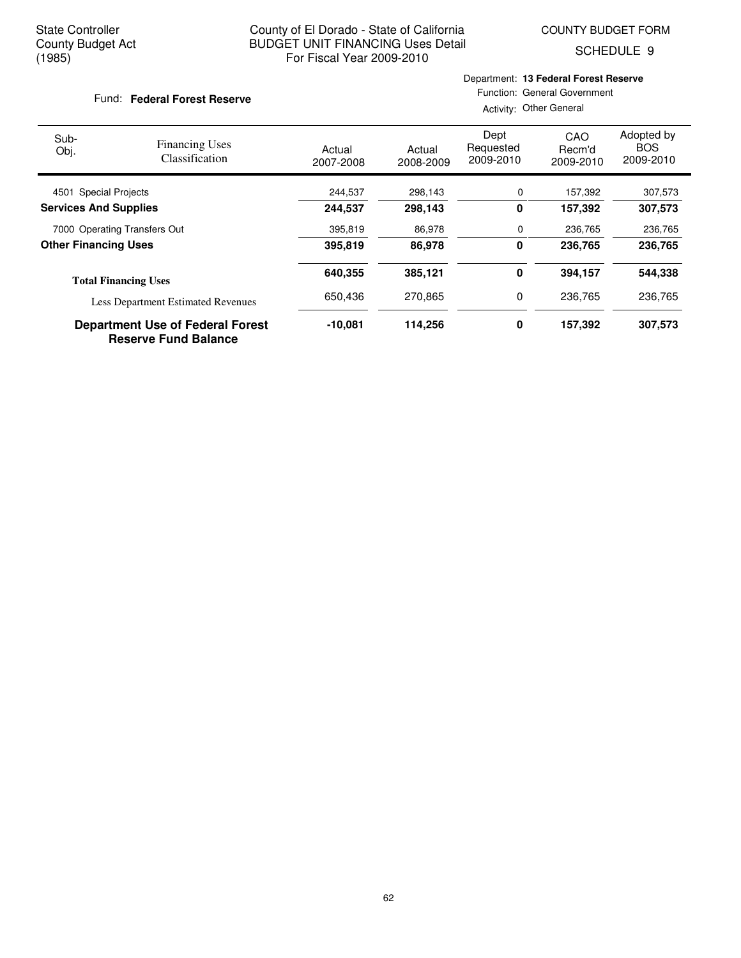SCHEDULE 9

### Fund: Federal Forest Reserve

# Department: **13 Federal Forest Reserve** Function: General Government

Activity: Other General

| Sub-<br>Obj.                                                             | <b>Financing Uses</b><br><b>Classification</b> | Actual<br>2007-2008 | Actual<br>2008-2009 | Dept<br>Requested<br>2009-2010 | CAO<br>Recm'd<br>2009-2010 | Adopted by<br><b>BOS</b><br>2009-2010 |
|--------------------------------------------------------------------------|------------------------------------------------|---------------------|---------------------|--------------------------------|----------------------------|---------------------------------------|
| 4501 Special Projects                                                    |                                                | 244,537             | 298,143             | 0                              | 157,392                    | 307,573                               |
| <b>Services And Supplies</b>                                             |                                                | 244,537             | 298,143             | 0                              | 157,392                    | 307,573                               |
| 7000 Operating Transfers Out                                             |                                                | 395,819             | 86,978              | 0                              | 236,765                    | 236,765                               |
| <b>Other Financing Uses</b>                                              |                                                | 395,819             | 86,978              | 0                              | 236,765                    | 236,765                               |
| <b>Total Financing Uses</b><br><b>Less Department Estimated Revenues</b> |                                                | 640,355             | 385,121             | 0                              | 394,157                    | 544,338                               |
|                                                                          |                                                | 650,436             | 270.865             | 0                              | 236.765                    | 236,765                               |
| <b>Department Use of Federal Forest</b><br><b>Reserve Fund Balance</b>   |                                                | $-10.081$           | 114,256             | 0                              | 157,392                    | 307,573                               |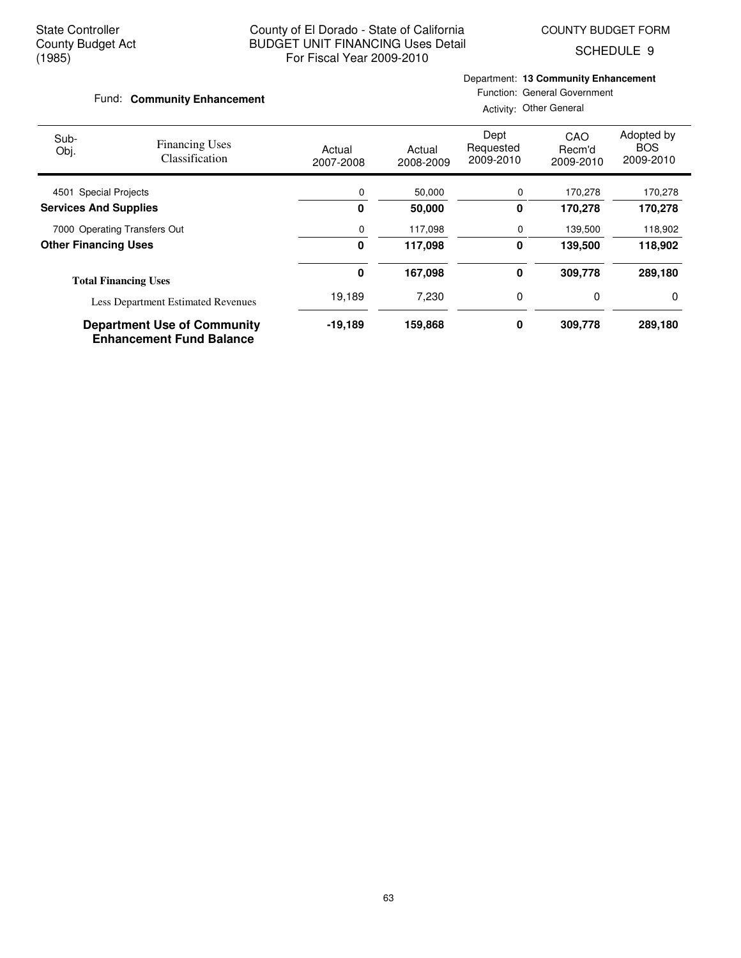SCHEDULE 9

# Fund: **Community Enhancement**

# Department: **13 Community Enhancement** Function: General Government

Activity: Other General

| Sub-<br>Obj.                                                          | <b>Financing Uses</b><br><b>Classification</b> | Actual<br>2007-2008 | Actual<br>2008-2009 | Dept<br>Requested<br>2009-2010 | CAO<br>Recm'd<br>2009-2010 | Adopted by<br><b>BOS</b><br>2009-2010 |
|-----------------------------------------------------------------------|------------------------------------------------|---------------------|---------------------|--------------------------------|----------------------------|---------------------------------------|
| 4501 Special Projects                                                 |                                                | 0                   | 50,000              | 0                              | 170,278                    | 170,278                               |
| <b>Services And Supplies</b>                                          |                                                | 0                   | 50,000              | 0                              | 170,278                    | 170,278                               |
| 7000 Operating Transfers Out                                          |                                                | 0                   | 117,098             | 0                              | 139,500                    | 118,902                               |
| <b>Other Financing Uses</b>                                           |                                                | $\mathbf{0}$        | 117,098             | 0                              | 139,500                    | 118,902                               |
|                                                                       | <b>Total Financing Uses</b>                    | 0                   | 167,098             | 0                              | 309,778                    | 289,180                               |
|                                                                       | <b>Less Department Estimated Revenues</b>      | 19,189              | 7,230               | 0                              | 0                          | 0                                     |
| <b>Department Use of Community</b><br><b>Enhancement Fund Balance</b> |                                                | $-19,189$           | 159,868             | 0                              | 309,778                    | 289,180                               |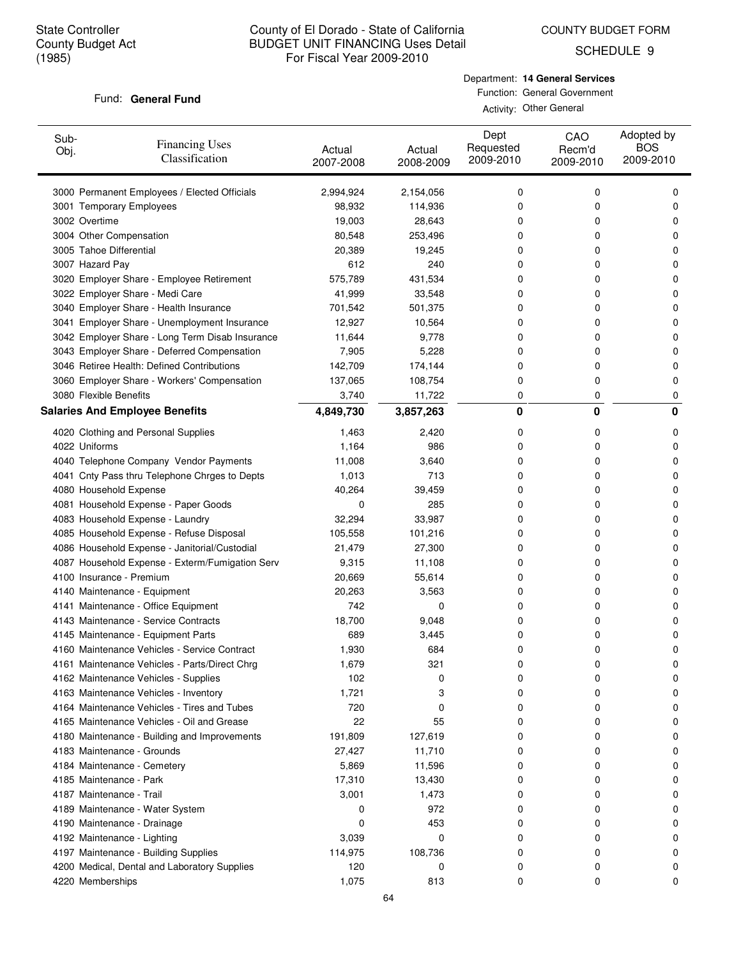COUNTY BUDGET FORM

SCHEDULE 9

#### Fund: General Fund

Department: **14 General Services** Function: General Government Activity: Other General

| Sub-<br>Obj.  | <b>Financing Uses</b><br>Classification         | Actual<br>2007-2008 | Actual<br>2008-2009 | Dept<br>Requested<br>2009-2010 | CAO<br>Recm'd<br>2009-2010 | Adopted by<br><b>BOS</b><br>2009-2010 |
|---------------|-------------------------------------------------|---------------------|---------------------|--------------------------------|----------------------------|---------------------------------------|
|               | 3000 Permanent Employees / Elected Officials    | 2,994,924           | 2,154,056           | 0                              | 0                          | 0                                     |
|               | 3001 Temporary Employees                        | 98,932              | 114,936             | 0                              | 0                          | 0                                     |
| 3002 Overtime |                                                 | 19,003              | 28,643              | 0                              | 0                          | 0                                     |
|               | 3004 Other Compensation                         | 80,548              | 253,496             | 0                              | 0                          | 0                                     |
|               | 3005 Tahoe Differential                         | 20,389              | 19,245              | 0                              | 0                          | 0                                     |
|               | 3007 Hazard Pay                                 | 612                 | 240                 | 0                              | 0                          | 0                                     |
|               | 3020 Employer Share - Employee Retirement       | 575,789             | 431,534             | 0                              | 0                          | 0                                     |
|               | 3022 Employer Share - Medi Care                 | 41,999              | 33,548              | 0                              | 0                          | 0                                     |
|               | 3040 Employer Share - Health Insurance          | 701,542             | 501,375             | 0                              | 0                          | 0                                     |
|               | 3041 Employer Share - Unemployment Insurance    | 12,927              | 10,564              | 0                              | 0                          | 0                                     |
|               | 3042 Employer Share - Long Term Disab Insurance | 11,644              | 9,778               | 0                              | 0                          | 0                                     |
|               | 3043 Employer Share - Deferred Compensation     | 7,905               | 5,228               | 0                              | 0                          | 0                                     |
|               | 3046 Retiree Health: Defined Contributions      | 142,709             | 174,144             | 0                              | 0                          | 0                                     |
|               | 3060 Employer Share - Workers' Compensation     | 137,065             | 108,754             | 0                              | 0                          | 0                                     |
|               | 3080 Flexible Benefits                          | 3,740               | 11,722              | 0                              | 0                          | 0                                     |
|               | <b>Salaries And Employee Benefits</b>           | 4,849,730           | 3,857,263           | 0                              | 0                          | 0                                     |
|               | 4020 Clothing and Personal Supplies             | 1,463               | 2,420               | 0                              | 0                          | 0                                     |
| 4022 Uniforms |                                                 | 1,164               | 986                 | 0                              | 0                          | 0                                     |
|               | 4040 Telephone Company Vendor Payments          | 11,008              | 3,640               | 0                              | 0                          | 0                                     |
|               | 4041 Cnty Pass thru Telephone Chrges to Depts   | 1,013               | 713                 | 0                              | 0                          | 0                                     |
|               | 4080 Household Expense                          | 40,264              | 39,459              | 0                              | 0                          | 0                                     |
|               | 4081 Household Expense - Paper Goods            | 0                   | 285                 | 0                              | 0                          | 0                                     |
|               | 4083 Household Expense - Laundry                | 32,294              | 33,987              | 0                              | 0                          | 0                                     |
|               | 4085 Household Expense - Refuse Disposal        | 105,558             | 101,216             | 0                              | 0                          | 0                                     |
|               | 4086 Household Expense - Janitorial/Custodial   | 21,479              | 27,300              | 0                              | 0                          | 0                                     |
|               | 4087 Household Expense - Exterm/Fumigation Serv | 9,315               | 11,108              | 0                              | 0                          | 0                                     |
|               | 4100 Insurance - Premium                        | 20,669              | 55,614              | 0                              | 0                          | 0                                     |
|               | 4140 Maintenance - Equipment                    | 20,263              | 3,563               | 0                              | 0                          | 0                                     |
|               | 4141 Maintenance - Office Equipment             | 742                 | 0                   | 0                              | 0                          | 0                                     |
|               | 4143 Maintenance - Service Contracts            | 18,700              | 9,048               | 0                              | 0                          | 0                                     |
|               | 4145 Maintenance - Equipment Parts              | 689                 | 3,445               | 0                              | 0                          | 0                                     |
|               | 4160 Maintenance Vehicles - Service Contract    | 1,930               | 684                 | 0                              | 0                          | 0                                     |
|               | 4161 Maintenance Vehicles - Parts/Direct Chrg   | 1,679               | 321                 | 0                              | U                          | U                                     |
|               | 4162 Maintenance Vehicles - Supplies            | 102                 | 0                   | 0                              | 0                          | 0                                     |
|               | 4163 Maintenance Vehicles - Inventory           | 1,721               | 3                   | 0                              | 0                          | 0                                     |
|               | 4164 Maintenance Vehicles - Tires and Tubes     | 720                 | 0                   | 0                              | 0                          | 0                                     |
|               | 4165 Maintenance Vehicles - Oil and Grease      | 22                  | 55                  | 0                              | 0                          | 0                                     |
|               | 4180 Maintenance - Building and Improvements    | 191,809             | 127,619             | 0                              | 0                          | 0                                     |
|               | 4183 Maintenance - Grounds                      | 27,427              | 11,710              | 0                              | 0                          | 0                                     |
|               | 4184 Maintenance - Cemetery                     | 5,869               | 11,596              | 0                              | 0                          | 0                                     |
|               | 4185 Maintenance - Park                         | 17,310              | 13,430              | 0                              | 0                          | 0                                     |
|               | 4187 Maintenance - Trail                        | 3,001               | 1,473               | 0                              | 0                          | 0                                     |
|               | 4189 Maintenance - Water System                 | 0                   | 972                 | 0                              | 0                          | 0                                     |
|               | 4190 Maintenance - Drainage                     | 0                   | 453                 | 0                              | 0                          | 0                                     |
|               | 4192 Maintenance - Lighting                     | 3,039               | 0                   | 0                              | 0                          | 0                                     |
|               | 4197 Maintenance - Building Supplies            | 114,975             | 108,736             | 0                              | 0                          | 0                                     |
|               | 4200 Medical, Dental and Laboratory Supplies    | 120                 | 0                   | 0                              | 0                          | 0                                     |
|               | 4220 Memberships                                | 1,075               | 813                 | 0                              | 0                          | 0                                     |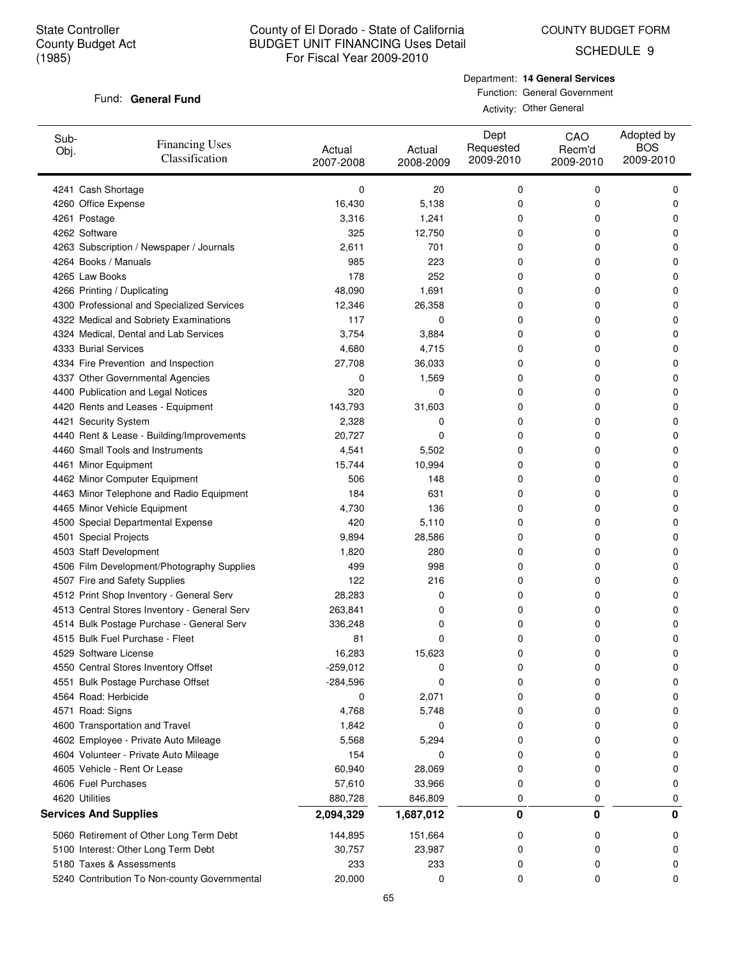COUNTY BUDGET FORM

SCHEDULE 9

### Fund: General Fund

Department: **14 General Services** Function: General Government Activity: Other General

| Sub-<br>Obj.                 | <b>Financing Uses</b><br>Classification      | Actual<br>2007-2008 | Actual<br>2008-2009 | Dept<br>Requested<br>2009-2010 | CAO<br>Recm'd<br>2009-2010 | Adopted by<br><b>BOS</b><br>2009-2010 |
|------------------------------|----------------------------------------------|---------------------|---------------------|--------------------------------|----------------------------|---------------------------------------|
| 4241 Cash Shortage           |                                              | 0                   | 20                  | 0                              | 0                          | 0                                     |
| 4260 Office Expense          |                                              | 16.430              | 5,138               | 0                              | 0                          | 0                                     |
| 4261 Postage                 |                                              | 3,316               | 1,241               | 0                              | 0                          | 0                                     |
| 4262 Software                |                                              | 325                 | 12,750              | 0                              | 0                          | 0                                     |
|                              | 4263 Subscription / Newspaper / Journals     | 2,611               | 701                 | 0                              | 0                          | 0                                     |
| 4264 Books / Manuals         |                                              | 985                 | 223                 | 0                              | 0                          | 0                                     |
| 4265 Law Books               |                                              | 178                 | 252                 | 0                              | 0                          | 0                                     |
|                              | 4266 Printing / Duplicating                  | 48,090              | 1,691               | 0                              | 0                          | 0                                     |
|                              | 4300 Professional and Specialized Services   | 12,346              | 26,358              | 0                              | 0                          | 0                                     |
|                              | 4322 Medical and Sobriety Examinations       | 117                 | 0                   | 0                              | 0                          | 0                                     |
|                              | 4324 Medical, Dental and Lab Services        | 3,754               | 3,884               | 0                              | 0                          | 0                                     |
| 4333 Burial Services         |                                              | 4,680               | 4,715               | 0                              | 0                          | 0                                     |
|                              | 4334 Fire Prevention and Inspection          | 27,708              | 36,033              | 0                              | 0                          | 0                                     |
|                              | 4337 Other Governmental Agencies             | 0                   | 1,569               | 0                              | 0                          | 0                                     |
|                              | 4400 Publication and Legal Notices           | 320                 | 0                   | 0                              | 0                          | 0                                     |
|                              | 4420 Rents and Leases - Equipment            | 143,793             | 31,603              | 0                              | 0                          | 0                                     |
| 4421 Security System         |                                              | 2,328               | 0                   | 0                              | 0                          | 0                                     |
|                              | 4440 Rent & Lease - Building/Improvements    | 20,727              | 0                   | 0                              | 0                          | 0                                     |
|                              | 4460 Small Tools and Instruments             | 4,541               | 5,502               | 0                              | 0                          | 0                                     |
| 4461 Minor Equipment         |                                              | 15,744              | 10,994              | 0                              | 0                          | 0                                     |
|                              | 4462 Minor Computer Equipment                | 506                 | 148                 | 0                              | 0                          | 0                                     |
|                              | 4463 Minor Telephone and Radio Equipment     | 184                 | 631                 | 0                              | 0                          | 0                                     |
|                              | 4465 Minor Vehicle Equipment                 | 4,730               | 136                 | 0                              | 0                          | 0                                     |
|                              | 4500 Special Departmental Expense            | 420                 | 5,110               | 0                              | 0                          | 0                                     |
| 4501 Special Projects        |                                              | 9,894               | 28,586              | 0                              | 0                          | 0                                     |
|                              | 4503 Staff Development                       | 1,820               | 280                 | 0                              | 0                          | 0                                     |
|                              | 4506 Film Development/Photography Supplies   | 499                 | 998                 | 0                              | 0                          | 0                                     |
|                              | 4507 Fire and Safety Supplies                | 122                 | 216                 | 0                              | 0                          | 0                                     |
|                              | 4512 Print Shop Inventory - General Serv     | 28,283              | 0                   | 0                              | 0                          | 0                                     |
|                              | 4513 Central Stores Inventory - General Serv | 263,841             | 0                   | 0                              | 0                          | 0                                     |
|                              | 4514 Bulk Postage Purchase - General Serv    | 336,248             | 0                   | 0                              | 0                          | 0                                     |
|                              | 4515 Bulk Fuel Purchase - Fleet              | 81                  | 0                   | 0                              | 0                          | 0                                     |
| 4529 Software License        |                                              | 16,283              | 15,623              | 0                              | 0                          | 0                                     |
|                              | 4550 Central Stores Inventory Offset         | $-259,012$          | 0                   | 0                              | 0                          | 0                                     |
|                              | 4551 Bulk Postage Purchase Offset            | $-284,596$          | 0                   | 0                              | 0                          | 0                                     |
| 4564 Road: Herbicide         |                                              | 0                   | 2,071               | 0                              | 0                          | 0                                     |
| 4571 Road: Signs             |                                              | 4,768               | 5,748               | 0                              | 0                          | 0                                     |
|                              | 4600 Transportation and Travel               | 1,842               | 0                   | 0                              | 0                          | 0                                     |
|                              | 4602 Employee - Private Auto Mileage         | 5,568               | 5,294               | 0                              | 0                          | 0                                     |
|                              | 4604 Volunteer - Private Auto Mileage        | 154                 | 0                   | 0                              | 0                          | 0                                     |
|                              | 4605 Vehicle - Rent Or Lease                 | 60,940              | 28,069              | 0                              | 0                          | 0                                     |
| 4606 Fuel Purchases          |                                              | 57,610              | 33,966              | 0                              | 0                          | 0                                     |
| 4620 Utilities               |                                              | 880,728             | 846,809             | 0                              | 0                          | 0                                     |
| <b>Services And Supplies</b> |                                              | 2,094,329           | 1,687,012           | 0                              | 0                          | 0                                     |
|                              | 5060 Retirement of Other Long Term Debt      | 144,895             | 151,664             | 0                              | 0                          | 0                                     |
|                              | 5100 Interest: Other Long Term Debt          | 30,757              | 23,987              | 0                              | 0                          | 0                                     |
|                              | 5180 Taxes & Assessments                     | 233                 | 233                 | 0                              | 0                          | 0                                     |
|                              | 5240 Contribution To Non-county Governmental | 20,000              | 0                   | 0                              | 0                          | 0                                     |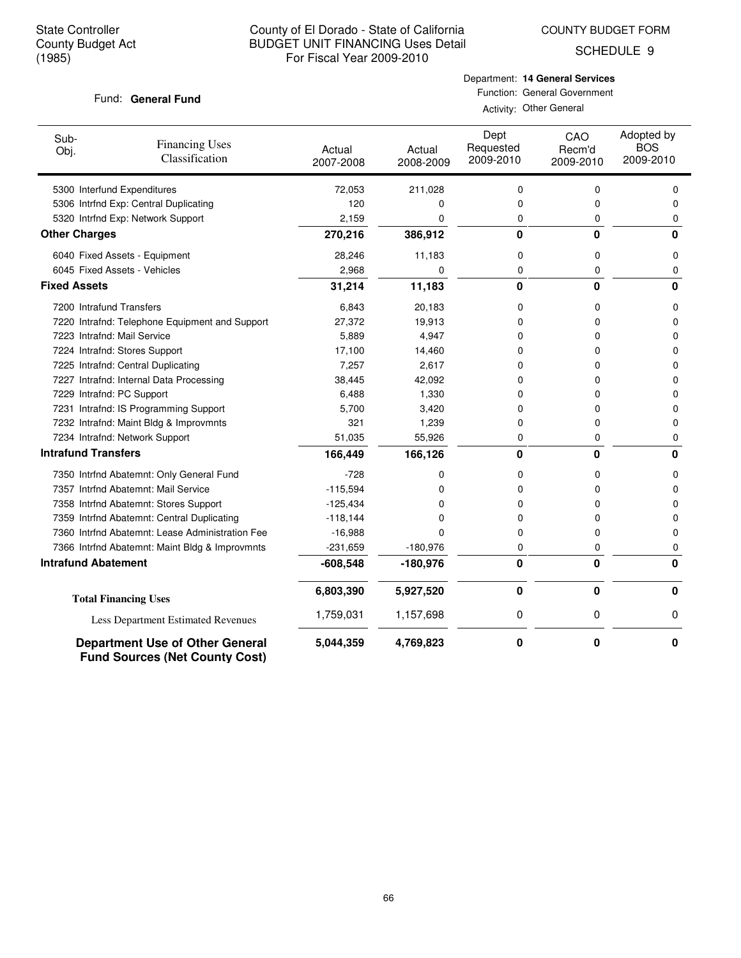COUNTY BUDGET FORM

SCHEDULE 9

### Fund: General Fund

# Department: **14 General Services** Function: General Government Activity: Other General

| Sub-<br>Obj.                | <b>Financing Uses</b><br>Classification                                         | Actual<br>2007-2008 | Actual<br>2008-2009 | Dept<br>Requested<br>2009-2010 | CAO<br>Recm'd<br>2009-2010 | Adopted by<br><b>BOS</b><br>2009-2010 |
|-----------------------------|---------------------------------------------------------------------------------|---------------------|---------------------|--------------------------------|----------------------------|---------------------------------------|
|                             | 5300 Interfund Expenditures                                                     | 72,053              | 211,028             | 0                              | $\mathbf 0$                | 0                                     |
|                             | 5306 Intrfnd Exp: Central Duplicating                                           | 120                 | 0                   | 0                              | $\mathbf 0$                | $\Omega$                              |
|                             | 5320 Intrfnd Exp: Network Support                                               | 2,159               | 0                   | 0                              | 0                          | 0                                     |
| <b>Other Charges</b>        |                                                                                 | 270,216             | 386,912             | 0                              | 0                          | 0                                     |
|                             | 6040 Fixed Assets - Equipment                                                   | 28,246              | 11,183              | 0                              | $\mathbf 0$                | 0                                     |
|                             | 6045 Fixed Assets - Vehicles                                                    | 2,968               | $\Omega$            | 0                              | 0                          | 0                                     |
| <b>Fixed Assets</b>         |                                                                                 | 31,214              | 11,183              | 0                              | 0                          | 0                                     |
| 7200 Intrafund Transfers    |                                                                                 | 6,843               | 20,183              | 0                              | 0                          | 0                                     |
|                             | 7220 Intrafnd: Telephone Equipment and Support                                  | 27,372              | 19,913              | 0                              | 0                          | $\Omega$                              |
| 7223 Intrafnd: Mail Service |                                                                                 | 5,889               | 4,947               | 0                              | 0                          | $\Omega$                              |
|                             | 7224 Intrafnd: Stores Support                                                   | 17,100              | 14,460              | 0                              | 0                          | $\Omega$                              |
|                             | 7225 Intrafnd: Central Duplicating                                              | 7,257               | 2,617               | 0                              | 0                          | $\Omega$                              |
|                             | 7227 Intrafnd: Internal Data Processing                                         | 38,445              | 42,092              | 0                              | 0                          | $\Omega$                              |
| 7229 Intrafnd: PC Support   |                                                                                 | 6,488               | 1,330               | 0                              | 0                          | 0                                     |
|                             | 7231 Intrafnd: IS Programming Support                                           | 5,700               | 3,420               | 0                              | 0                          | 0                                     |
|                             | 7232 Intrafnd: Maint Bldg & Improvmnts                                          | 321                 | 1,239               | 0                              | 0                          | 0                                     |
|                             | 7234 Intrafnd: Network Support                                                  | 51,035              | 55,926              | 0                              | 0                          | 0                                     |
| <b>Intrafund Transfers</b>  |                                                                                 | 166,449             | 166,126             | 0                              | 0                          | 0                                     |
|                             | 7350 Intrfnd Abatemnt: Only General Fund                                        | $-728$              | 0                   | 0                              | 0                          | 0                                     |
|                             | 7357 Intrfnd Abatemnt: Mail Service                                             | $-115,594$          | 0                   | 0                              | 0                          | 0                                     |
|                             | 7358 Intrfnd Abatemnt: Stores Support                                           | $-125,434$          | 0                   | 0                              | 0                          | 0                                     |
|                             | 7359 Intrfnd Abatemnt: Central Duplicating                                      | $-118,144$          | 0                   | 0                              | 0                          | 0                                     |
|                             | 7360 Intrfnd Abatemnt: Lease Administration Fee                                 | $-16,988$           | 0                   | 0                              | 0                          | 0                                     |
|                             | 7366 Intrfnd Abatemnt: Maint Bldg & Improvmnts                                  | $-231,659$          | $-180,976$          | 0                              | 0                          | 0                                     |
| <b>Intrafund Abatement</b>  |                                                                                 | $-608,548$          | $-180,976$          | 0                              | 0                          | 0                                     |
|                             | <b>Total Financing Uses</b>                                                     | 6,803,390           | 5,927,520           | 0                              | 0                          | 0                                     |
|                             | Less Department Estimated Revenues                                              | 1,759,031           | 1,157,698           | 0                              | 0                          | 0                                     |
|                             | <b>Department Use of Other General</b><br><b>Fund Sources (Net County Cost)</b> | 5,044,359           | 4,769,823           | 0                              | 0                          | 0                                     |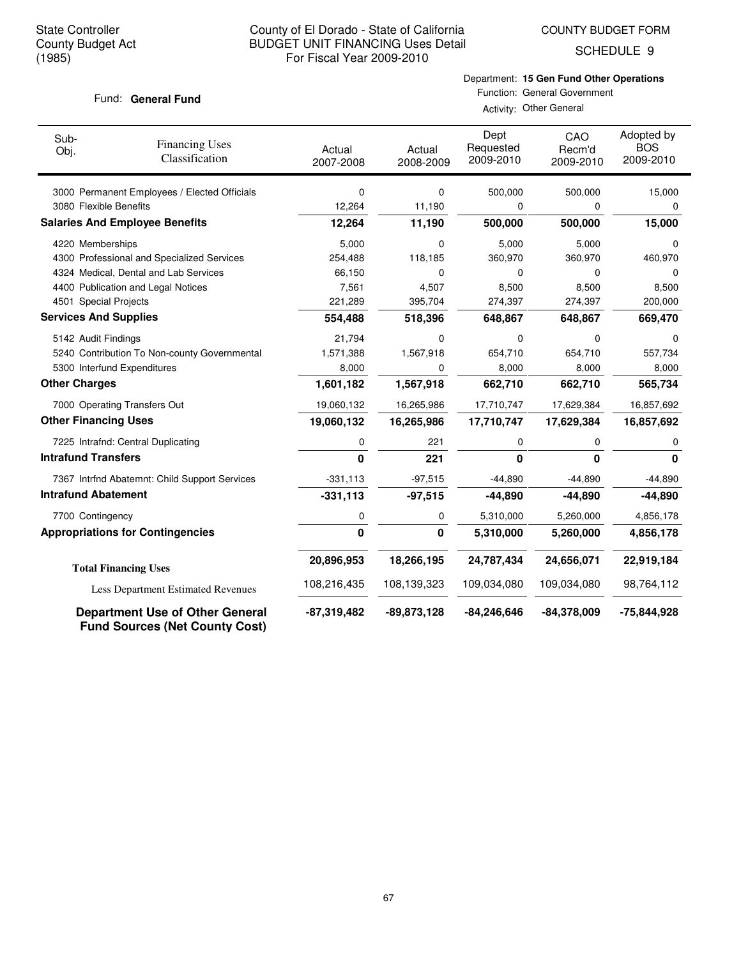COUNTY BUDGET FORM

SCHEDULE 9

# Fund: General Fund

# Department: **15 Gen Fund Other Operations** Function: General Government

Activity: Other General

| Sub-<br>Obj.                 | <b>Financing Uses</b><br>Classification                                         | Actual<br>2007-2008 | Actual<br>2008-2009 | Dept<br>Requested<br>2009-2010 | CAO<br>Recm'd<br>2009-2010 | Adopted by<br><b>BOS</b><br>2009-2010 |
|------------------------------|---------------------------------------------------------------------------------|---------------------|---------------------|--------------------------------|----------------------------|---------------------------------------|
|                              | 3000 Permanent Employees / Elected Officials                                    | 0                   | 0                   | 500,000                        | 500,000                    | 15,000                                |
| 3080 Flexible Benefits       |                                                                                 | 12,264              | 11,190              | 0                              | 0                          | $\Omega$                              |
|                              | <b>Salaries And Employee Benefits</b>                                           | 12,264              | 11,190              | 500,000                        | 500,000                    | 15,000                                |
| 4220 Memberships             |                                                                                 | 5,000               | 0                   | 5,000                          | 5,000                      | 0                                     |
|                              | 4300 Professional and Specialized Services                                      | 254,488             | 118,185             | 360,970                        | 360,970                    | 460,970                               |
|                              | 4324 Medical, Dental and Lab Services                                           | 66,150              | 0                   | 0                              | 0                          | $\Omega$                              |
|                              | 4400 Publication and Legal Notices                                              | 7,561               | 4,507               | 8,500                          | 8,500                      | 8,500                                 |
| 4501 Special Projects        |                                                                                 | 221,289             | 395,704             | 274,397                        | 274,397                    | 200,000                               |
| <b>Services And Supplies</b> |                                                                                 | 554,488             | 518,396             | 648,867                        | 648,867                    | 669,470                               |
| 5142 Audit Findings          |                                                                                 | 21,794              | 0                   | 0                              | 0                          | 0                                     |
|                              | 5240 Contribution To Non-county Governmental                                    | 1,571,388           | 1,567,918           | 654,710                        | 654,710                    | 557,734                               |
|                              | 5300 Interfund Expenditures                                                     | 8,000               | 0                   | 8,000                          | 8,000                      | 8,000                                 |
| <b>Other Charges</b>         |                                                                                 | 1,601,182           | 1,567,918           | 662,710                        | 662,710                    | 565,734                               |
|                              | 7000 Operating Transfers Out                                                    | 19,060,132          | 16,265,986          | 17,710,747                     | 17,629,384                 | 16,857,692                            |
| <b>Other Financing Uses</b>  |                                                                                 | 19,060,132          | 16,265,986          | 17,710,747                     | 17,629,384                 | 16,857,692                            |
|                              | 7225 Intrafnd: Central Duplicating                                              | 0                   | 221                 | 0                              | 0                          | 0                                     |
| <b>Intrafund Transfers</b>   |                                                                                 | $\bf{0}$            | 221                 | $\mathbf{0}$                   | $\bf{0}$                   | $\mathbf{0}$                          |
|                              | 7367 Intrfnd Abatemnt: Child Support Services                                   | $-331,113$          | $-97,515$           | $-44,890$                      | $-44,890$                  | $-44,890$                             |
| <b>Intrafund Abatement</b>   |                                                                                 | $-331,113$          | $-97,515$           | $-44,890$                      | $-44,890$                  | $-44,890$                             |
| 7700 Contingency             |                                                                                 | 0                   | 0                   | 5,310,000                      | 5,260,000                  | 4,856,178                             |
|                              | <b>Appropriations for Contingencies</b>                                         | 0                   | $\mathbf{0}$        | 5,310,000                      | 5,260,000                  | 4,856,178                             |
|                              | <b>Total Financing Uses</b>                                                     | 20,896,953          | 18,266,195          | 24,787,434                     | 24,656,071                 | 22,919,184                            |
|                              | Less Department Estimated Revenues                                              | 108,216,435         | 108,139,323         | 109,034,080                    | 109,034,080                | 98,764,112                            |
|                              | <b>Department Use of Other General</b><br><b>Fund Sources (Net County Cost)</b> | $-87,319,482$       | $-89,873,128$       | $-84,246,646$                  | $-84,378,009$              | -75,844,928                           |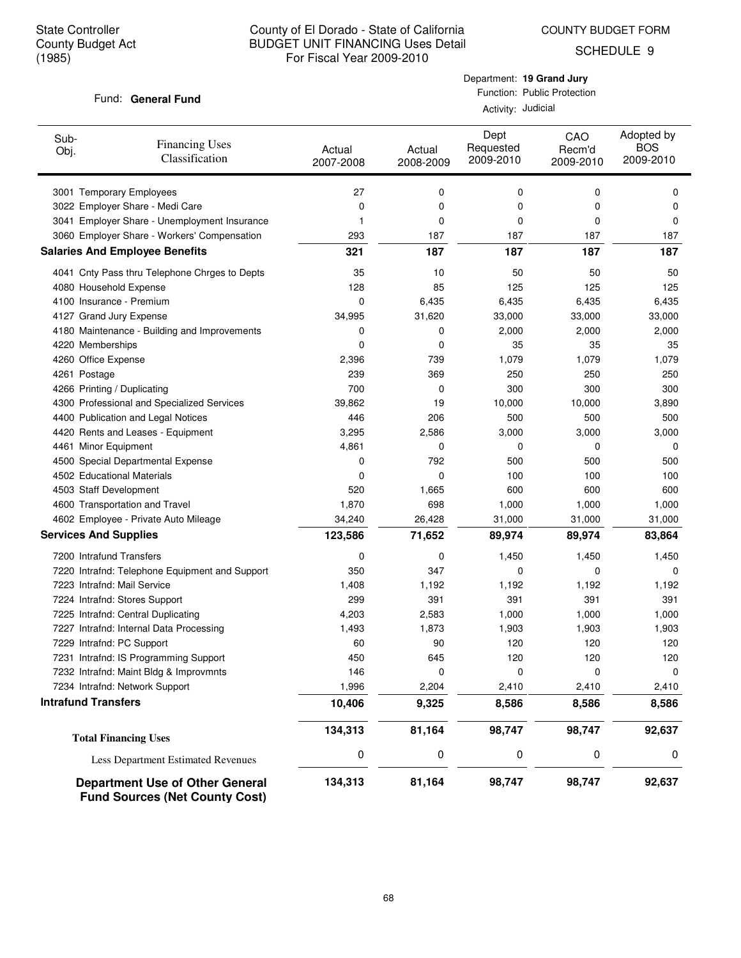COUNTY BUDGET FORM

Department: **19 Grand Jury**

SCHEDULE 9

#### Actual 2007-2008 **Actual** 2008-2009 Dept Requested 2009-2010 Adopted by BOS 2009-2010 Fund: General Fund Sub-Obj. Function: Public Protection Activity: Judicial CAO Recm'd 2009-2010 Financing Uses Classification 3001 Temporary Employees and the control of the control of the control of the control of the control of the control of the control of the control of the control of the control of the control of the control of the control o 3022 Employer Share - Medi Care 0 0 0 0 0 3041 Employer Share - Unemployment Insurance 1 0 0 0 0 3060 Employer Share - Workers' Compensation 293 187 187 187 187 **Salaries And Employee Benefits 321 187 187 187 187** 4041 Cnty Pass thru Telephone Chraes to Depts 35 10 50 50 50 50 50 4080 Household Expense 128 85 125 125 125 4100 Insurance - Premium 0 6,435 6,435 6,435 6,435 4127 Grand Jury Expense 34,995 31,620 33,000 33,000 33,000 4180 Maintenance - Building and Improvements  $\begin{pmatrix} 0 & 0 & 0 \\ 0 & 0 & 2,000 \end{pmatrix}$  2,000  $\begin{pmatrix} 2,000 & 2,000 \\ 2,000 & 2,000 \end{pmatrix}$ 4220 Memberships 0 0 35 35 35 4260 Office Expense 2,396 739 1,079 1,079 1,079 4261 Postage 239 369 250 250 250 4266 Printing / Duplicating 700 0 300 300 300 4300 Professional and Specialized Services 39,862 19 10,000 3,890 10,000 4400 Publication and Legal Notices 446 206 500 500 500 4420 Rents and Leases - Equipment 3,295 2,586 3,000 3,00 3,000 0 4461 Minor Equipment 4,861 0 0 0 0 4500 Special Departmental Expense  $\begin{array}{ccc} 0 & 0 & 792 & 500 & 500 \end{array}$ 4502 Educational Materials **100** 100 100 100 100 100 100 100 4503 Staff Development 520 1,665 600 600 600 4600 Transportation and Travel 1,870 698 1,000 1,000 1,000 4602 Employee - Private Auto Mileage 34,240 26,428 31,000 31,000 31,000 **Services And Supplies 123,586 71,652 89,974 89,974 83,864** 7200 Intrafund Transfers 1.450 1.450 1.450 1.450 1.450 1.450 1.450 1.450 1.450 7220 Intrafnd: Telephone Equipment and Support 350 347 0 0 0 7223 Intrafnd: Mail Service 1,408 1,192 1,192 1,192 1,192 7224 Intrafnd: Stores Support 299 391 391 391 391 7225 Intrafnd: Central Duplicating  $4,203$   $4,203$   $2,583$   $1,000$   $1,000$   $1,000$   $1,000$ 7227 Intrafnd: Internal Data Processing 1,493 1,873 1,903 1,903 1,903 7229 Intrafnd: PC Support 60 90 120 120 120 7231 Intrafnd: IS Programming Support 120 120 120 120 120 120 120 7232 Intrafnd: Maint Bldg & Improvmnts 146 0 0 0 0 7234 Intrafnd: Network Support 1,996 2,204 2,410 2,410 2,410 **Intrafund Transfers 10,406 9,325 8,586 8,586 8,586 134,313 81,164 98,747 92,637 98,747 Total Financing Uses** Less Department Estimated Revenues 0 0 0 0 <sup>0</sup> **Department Use of Other General 134,313 81,164 98,747 92,637 98,747 Fund Sources (Net County Cost)**